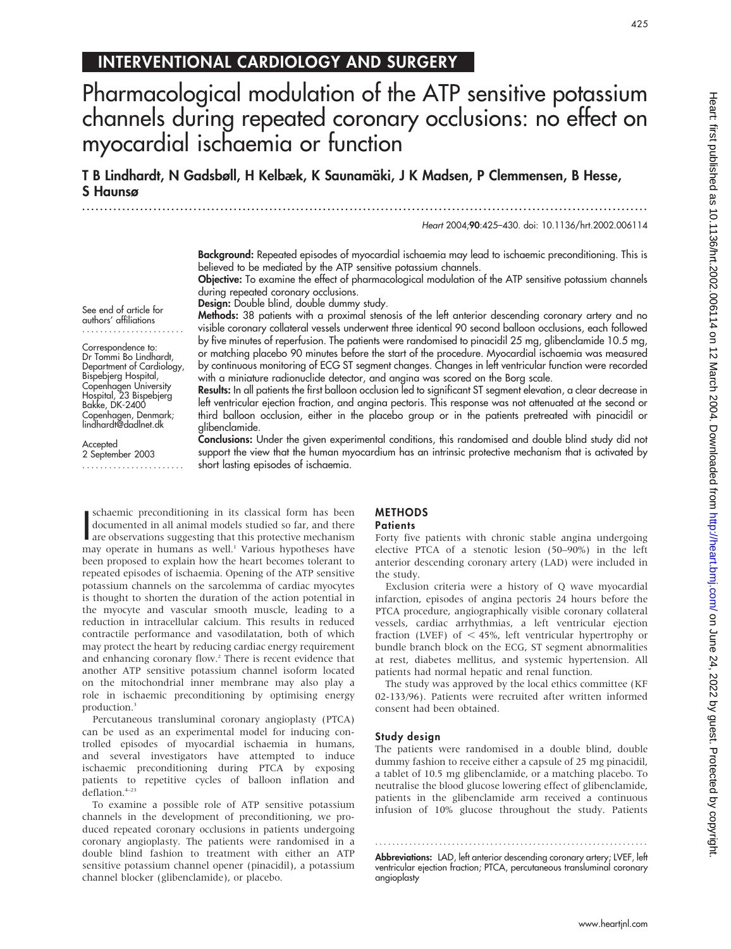# INTERVENTIONAL CARDIOLOGY AND SURGERY

# Pharmacological modulation of the ATP sensitive potassium channels during repeated coronary occlusions: no effect on myocardial ischaemia or function

T B Lindhardt, N Gadsbøll, H Kelbæk, K Saunamäki, J K Madsen, P Clemmensen, B Hesse, S Haunsø

.............................................................................................................................. .

Heart 2004;90:425–430. doi: 10.1136/hrt.2002.006114

Background: Repeated episodes of myocardial ischaemia may lead to ischaemic preconditioning. This is believed to be mediated by the ATP sensitive potassium channels.

Objective: To examine the effect of pharmacological modulation of the ATP sensitive potassium channels during repeated coronary occlusions.

Design: Double blind, double dummy study.

Methods: 38 patients with a proximal stenosis of the left anterior descending coronary artery and no visible coronary collateral vessels underwent three identical 90 second balloon occlusions, each followed by five minutes of reperfusion. The patients were randomised to pinacidil 25 mg, glibenclamide 10.5 mg, or matching placebo 90 minutes before the start of the procedure. Myocardial ischaemia was measured by continuous monitoring of ECG ST segment changes. Changes in left ventricular function were recorded with a miniature radionuclide detector, and angina was scored on the Borg scale.

Results: In all patients the first balloon occlusion led to significant ST segment elevation, a clear decrease in left ventricular ejection fraction, and angina pectoris. This response was not attenuated at the second or third balloon occlusion, either in the placebo group or in the patients pretreated with pinacidil or glibenclamide.

Conclusions: Under the given experimental conditions, this randomised and double blind study did not support the view that the human myocardium has an intrinsic protective mechanism that is activated by short lasting episodes of ischaemia.

Schaemic preconditioning in its classical form has been<br>documented in all animal models studied so far, and there<br>are observations suggesting that this protective mechanism<br>may energth in humans as well i Various humathees schaemic preconditioning in its classical form has been documented in all animal models studied so far, and there may operate in humans as well.<sup>1</sup> Various hypotheses have been proposed to explain how the heart becomes tolerant to repeated episodes of ischaemia. Opening of the ATP sensitive potassium channels on the sarcolemma of cardiac myocytes is thought to shorten the duration of the action potential in the myocyte and vascular smooth muscle, leading to a reduction in intracellular calcium. This results in reduced contractile performance and vasodilatation, both of which may protect the heart by reducing cardiac energy requirement and enhancing coronary flow.<sup>2</sup> There is recent evidence that another ATP sensitive potassium channel isoform located on the mitochondrial inner membrane may also play a role in ischaemic preconditioning by optimising energy production.<sup>3</sup>

See end of article for authors' affiliations

Correspondence to: Dr Tommi Bo Lindhardt, Department of Cardiology, Bispebjerg Hospital, Copenhagen University Hospital, 23 Bispebjerg Bakke, DK-2400 Copenhagen, Denmark; lindhardt@dadlnet.dk

**Accepted** 2 September 2003 .......................

Percutaneous transluminal coronary angioplasty (PTCA) can be used as an experimental model for inducing controlled episodes of myocardial ischaemia in humans, and several investigators have attempted to induce ischaemic preconditioning during PTCA by exposing patients to repetitive cycles of balloon inflation and  $\det$ deflation.<sup>4–23</sup>

To examine a possible role of ATP sensitive potassium channels in the development of preconditioning, we produced repeated coronary occlusions in patients undergoing coronary angioplasty. The patients were randomised in a double blind fashion to treatment with either an ATP sensitive potassium channel opener (pinacidil), a potassium channel blocker (glibenclamide), or placebo.

# METHODS **Patients**

Forty five patients with chronic stable angina undergoing elective PTCA of a stenotic lesion (50–90%) in the left anterior descending coronary artery (LAD) were included in the study.

Exclusion criteria were a history of Q wave myocardial infarction, episodes of angina pectoris 24 hours before the PTCA procedure, angiographically visible coronary collateral vessels, cardiac arrhythmias, a left ventricular ejection fraction (LVEF) of  $<$  45%, left ventricular hypertrophy or bundle branch block on the ECG, ST segment abnormalities at rest, diabetes mellitus, and systemic hypertension. All patients had normal hepatic and renal function.

The study was approved by the local ethics committee (KF 02-133/96). Patients were recruited after written informed consent had been obtained.

# Study design

The patients were randomised in a double blind, double dummy fashion to receive either a capsule of 25 mg pinacidil, a tablet of 10.5 mg glibenclamide, or a matching placebo. To neutralise the blood glucose lowering effect of glibenclamide, patients in the glibenclamide arm received a continuous infusion of 10% glucose throughout the study. Patients

Abbreviations: LAD, left anterior descending coronary artery; LVEF, left ventricular ejection fraction; PTCA, percutaneous transluminal coronary angioplasty

............................................................... .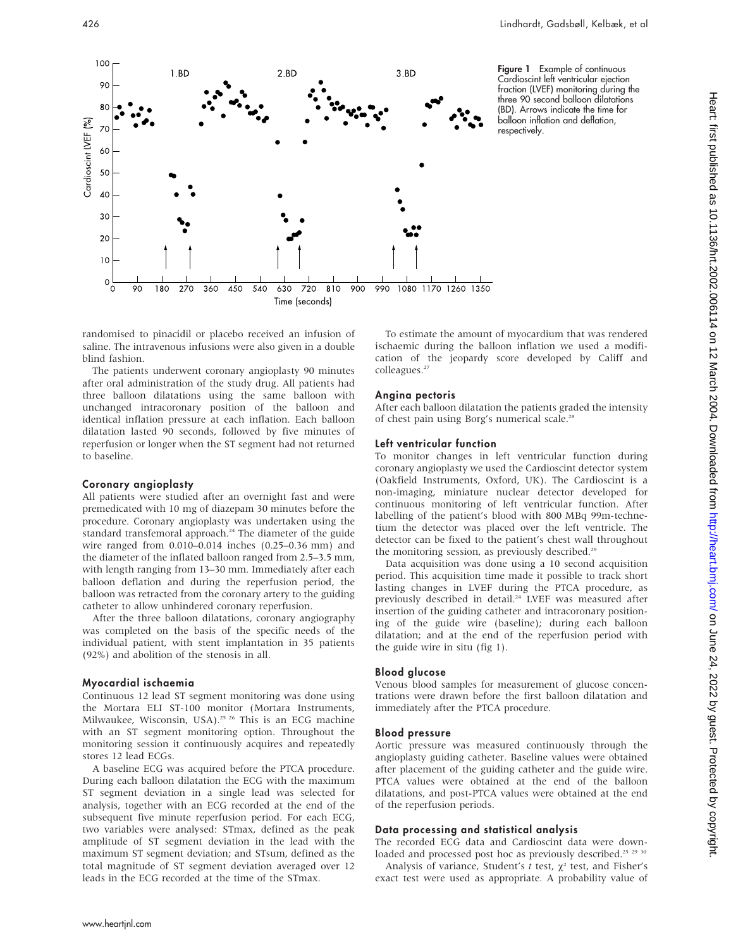

Figure 1 Example of continuous Cardioscint left ventricular ejection fraction (LVEF) monitoring during the three 90 second balloon dilatations (BD). Arrows indicate the time for balloon inflation and deflation, respectively.

randomised to pinacidil or placebo received an infusion of saline. The intravenous infusions were also given in a double blind fashion.

The patients underwent coronary angioplasty 90 minutes after oral administration of the study drug. All patients had three balloon dilatations using the same balloon with unchanged intracoronary position of the balloon and identical inflation pressure at each inflation. Each balloon dilatation lasted 90 seconds, followed by five minutes of reperfusion or longer when the ST segment had not returned to baseline.

# Coronary angioplasty

All patients were studied after an overnight fast and were premedicated with 10 mg of diazepam 30 minutes before the procedure. Coronary angioplasty was undertaken using the standard transfemoral approach.<sup>24</sup> The diameter of the guide wire ranged from 0.010–0.014 inches (0.25–0.36 mm) and the diameter of the inflated balloon ranged from 2.5–3.5 mm, with length ranging from 13–30 mm. Immediately after each balloon deflation and during the reperfusion period, the balloon was retracted from the coronary artery to the guiding catheter to allow unhindered coronary reperfusion.

After the three balloon dilatations, coronary angiography was completed on the basis of the specific needs of the individual patient, with stent implantation in 35 patients (92%) and abolition of the stenosis in all.

#### Myocardial ischaemia

Continuous 12 lead ST segment monitoring was done using the Mortara ELI ST-100 monitor (Mortara Instruments, Milwaukee, Wisconsin, USA).<sup>25 26</sup> This is an ECG machine with an ST segment monitoring option. Throughout the monitoring session it continuously acquires and repeatedly stores 12 lead ECGs.

A baseline ECG was acquired before the PTCA procedure. During each balloon dilatation the ECG with the maximum ST segment deviation in a single lead was selected for analysis, together with an ECG recorded at the end of the subsequent five minute reperfusion period. For each ECG, two variables were analysed: STmax, defined as the peak amplitude of ST segment deviation in the lead with the maximum ST segment deviation; and STsum, defined as the total magnitude of ST segment deviation averaged over 12 leads in the ECG recorded at the time of the STmax.

To estimate the amount of myocardium that was rendered ischaemic during the balloon inflation we used a modification of the jeopardy score developed by Califf and colleagues.<sup>27</sup>

#### Angina pectoris

After each balloon dilatation the patients graded the intensity of chest pain using Borg's numerical scale.<sup>28</sup>

#### Left ventricular function

To monitor changes in left ventricular function during coronary angioplasty we used the Cardioscint detector system (Oakfield Instruments, Oxford, UK). The Cardioscint is a non-imaging, miniature nuclear detector developed for continuous monitoring of left ventricular function. After labelling of the patient's blood with 800 MBq 99m-technetium the detector was placed over the left ventricle. The detector can be fixed to the patient's chest wall throughout the monitoring session, as previously described.<sup>29</sup>

Data acquisition was done using a 10 second acquisition period. This acquisition time made it possible to track short lasting changes in LVEF during the PTCA procedure, as previously described in detail.<sup>24</sup> LVEF was measured after insertion of the guiding catheter and intracoronary positioning of the guide wire (baseline); during each balloon dilatation; and at the end of the reperfusion period with the guide wire in situ (fig 1).

## Blood glucose

Venous blood samples for measurement of glucose concentrations were drawn before the first balloon dilatation and immediately after the PTCA procedure.

#### Blood pressure

Aortic pressure was measured continuously through the angioplasty guiding catheter. Baseline values were obtained after placement of the guiding catheter and the guide wire. PTCA values were obtained at the end of the balloon dilatations, and post-PTCA values were obtained at the end of the reperfusion periods.

# Data processing and statistical analysis

The recorded ECG data and Cardioscint data were downloaded and processed post hoc as previously described.<sup>25</sup> <sup>29</sup> <sup>30</sup>

Analysis of variance, Student's t test,  $\chi^2$  test, and Fisher's exact test were used as appropriate. A probability value of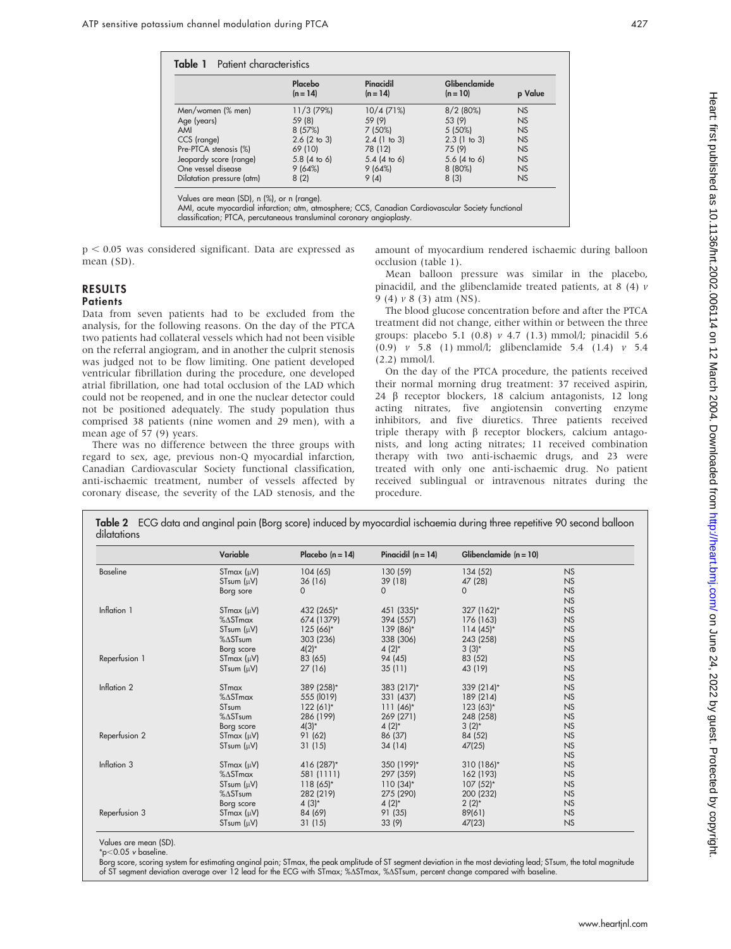|                           | Placebo<br>$(n = 14)$ | Pinacidil<br>$(n = 14)$ | Glibenclamide<br>$(n = 10)$ | p Value   |
|---------------------------|-----------------------|-------------------------|-----------------------------|-----------|
| Men/women (% men)         | $11/3$ (79%)          | $10/4$ (71%)            | $8/2$ (80%)                 | <b>NS</b> |
| Age (years)               | 59 (8)                | 59 (9)                  | 53 (9)                      | <b>NS</b> |
| AMI                       | 8(57%)                | 7(50%)                  | 5 (50%)                     | <b>NS</b> |
| CCS (range)               | $2.6$ ( $2$ to $3$ )  | $2.4$ (1 to 3)          | 2.3(1 to 3)                 | <b>NS</b> |
| Pre-PTCA stenosis (%)     | 69 (10)               | 78 (12)                 | 75 (9)                      | <b>NS</b> |
| Jeopardy score (range)    | $5.8$ (4 to 6)        | $5.4$ (4 to 6)          | $5.6$ (4 to 6)              | <b>NS</b> |
| One vessel disease        | 9(64%)                | 9(64%)                  | 8(80%)                      | <b>NS</b> |
| Dilatation pressure (atm) | 8(2)                  | 9(4)                    | 8(3)                        | <b>NS</b> |

Values are mean (SD), n (%), or n (range).

AMI, acute myocardial infarction; atm, atmosphere; CCS, Canadian Cardiovascular Society functional classification; PTCA, percutaneous transluminal coronary angioplasty.

 $p < 0.05$  was considered significant. Data are expressed as mean (SD).

Data from seven patients had to be excluded from the analysis, for the following reasons. On the day of the PTCA two patients had collateral vessels which had not been visible on the referral angiogram, and in another the culprit stenosis was judged not to be flow limiting. One patient developed ventricular fibrillation during the procedure, one developed atrial fibrillation, one had total occlusion of the LAD which could not be reopened, and in one the nuclear detector could not be positioned adequately. The study population thus comprised 38 patients (nine women and 29 men), with a

There was no difference between the three groups with regard to sex, age, previous non-Q myocardial infarction, Canadian Cardiovascular Society functional classification, anti-ischaemic treatment, number of vessels affected by coronary disease, the severity of the LAD stenosis, and the

RESULTS **Patients** 

mean age of 57 (9) years.

## amount of myocardium rendered ischaemic during balloon occlusion (table 1).

Mean balloon pressure was similar in the placebo, pinacidil, and the glibenclamide treated patients, at 8  $(4)$   $\nu$ 9 (4) v 8 (3) atm (NS).

The blood glucose concentration before and after the PTCA treatment did not change, either within or between the three groups: placebo 5.1 (0.8) v 4.7 (1.3) mmol/l; pinacidil 5.6 (0.9) v 5.8 (1) mmol/l; glibenclamide 5.4 (1.4) v 5.4 (2.2) mmol/l.

On the day of the PTCA procedure, the patients received their normal morning drug treatment: 37 received aspirin, 24  $\beta$  receptor blockers, 18 calcium antagonists, 12 long acting nitrates, five angiotensin converting enzyme inhibitors, and five diuretics. Three patients received triple therapy with  $\beta$  receptor blockers, calcium antagonists, and long acting nitrates; 11 received combination therapy with two anti-ischaemic drugs, and 23 were treated with only one anti-ischaemic drug. No patient received sublingual or intravenous nitrates during the procedure.

Table 2 ECG data and anginal pain (Borg score) induced by myocardial ischaemia during three repetitive 90 second balloon dilatations Variable Placebo  $(n = 14)$  Pinacidil  $(n = 14)$  Glibenclamide  $(n = 10)$ Baseline STmax (mV) 104 (65) 130 (59) 134 (52) NS STsum (µV) 36 (16) 39 (18) 47 (28) 39 (18) Borg sore 0 0 0 NS NS<br>NS Inflation 1 STmax (mV) 432 (265)\* 451 (335)\* 327 (162)\* NS %∆STmax 674 (1379) 394 (557) 176 (163) NS<br>STsum (µV) 125 (66)\* 139 (86)\* 114 (45)\* NS STsum (μV) 125 (66)\* 139 (86)\* 114 (45)\* 139 (87)<br>%∆STsum 303 (236) 338 (306) 243 (258) NS %DSTsum 303 (236) 338 (306) 243 (258) NS Borg score  $4(2)^*$  4 (2)\* 3 (3)\* NS<br>STmax (μV) 83 (65) 94 (45) 83 (52) NS Reperfusion 1 STmax (μV) 83 (65) 94 (45) 83 (52) NS  $STsum (uV)$  27 (16) 35 (11) 43 (19) NS NS Inflation 2 STmax 389 (258)\* 383 (217)\* 339 (214)\* NS %ASTmax 555 (l019) 331 (437) 189 (214) NS STsum 122 (61)\* 111 (46)\* 123 (63)\* NS %\the XSTsum 286 (199) 269 (271) 248 (258) NS<br>
Borg score 4(3)\* 4 (2)\* 3 (2)\* NS<br>
3 (2)\* 3 (2)\* 86 (37) 84 (52) NS  $Borg score$   $4(3)^*$   $4(2)^*$   $3(2)^*$ <br>  $5Tmax (\mu V)$   $91(62)$   $86(37)$   $84(52)$ Reperfusion 2 STmax (μV) 91 (62) 86 (37) 84 (52) NS  $SIsum (\mu V)$  31 (15) 34 (14) 47(25) NS NS<br>NS Inflation 3 STmax (mV) 416 (287)\* 350 (199)\* 310 (186)\* NS %ASTmax 581 (1111) 297 (359) 162 (193) NS STsum (µV) 118 (65)\* 110 (34)\* 107 (52)\* NS %ASTsum 282 (219) 275 (290) 200 (232) NS Borg score  $4 \ (3)^*$   $4 \ (2)^*$   $2 \ (2)^*$  NS Reperfusion 3 STmax (mV) 84 (69) 91 (35) 89(61) NS  $STsum (\mu V)$  31 (15) 33 (9) 47(23) NS

Values are mean (SD).

 $*p<0.05$  v baseline

Borg score, scoring system for estimating anginal pain; STmax, the peak amplitude of ST segment deviation in the most deviating lead; STsum, the total magnitude<br>of ST segment deviation average over 12 lead for the ECG with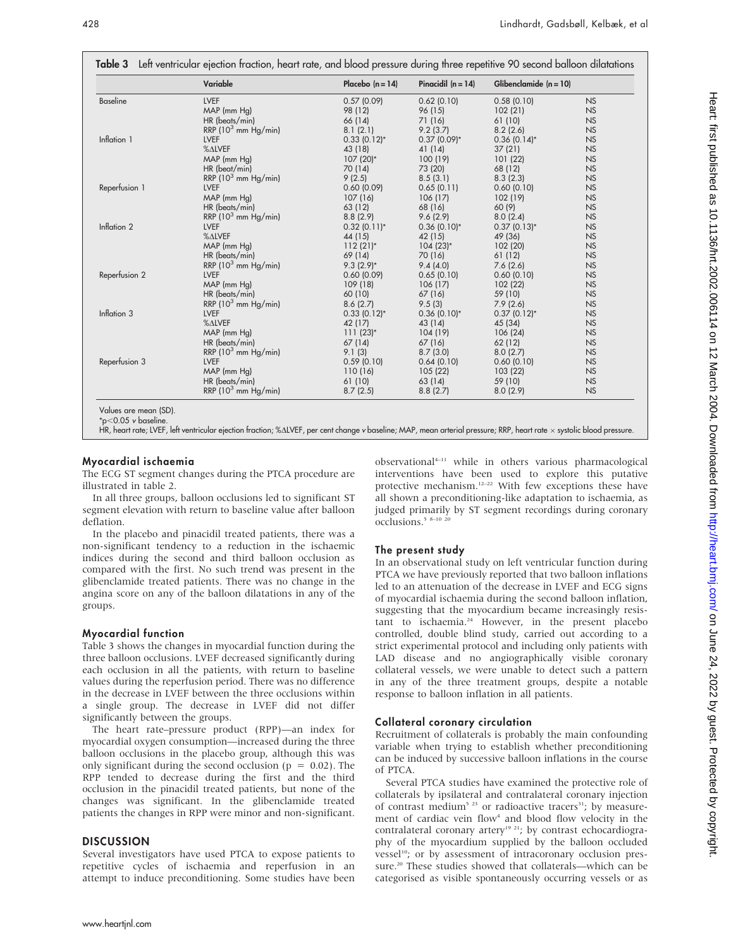| Baseline      | Variable<br><b>LVEF</b> | Placebo $(n = 14)$<br>0.57(0.09) | Pinacidil ( $n = 14$ )<br>$0.62$ (0.10) | Glibenclamide $(n = 10)$ |           |
|---------------|-------------------------|----------------------------------|-----------------------------------------|--------------------------|-----------|
|               |                         |                                  |                                         | 0.58(0.10)               | <b>NS</b> |
|               | MAP (mm Hg)             | 98 (12)                          | 96 (15)                                 | 102(21)                  | <b>NS</b> |
|               | HR (beats/min)          | 66 (14)                          | 71 (16)                                 | 61(10)                   | <b>NS</b> |
|               | RRP $(10^3$ mm Hg/min)  | 8.1(2.1)                         | 9.2(3.7)                                | 8.2(2.6)                 | <b>NS</b> |
| Inflation 1   | <b>LVEF</b>             | $0.33(0.12)$ *                   | $0.37(0.09)*$                           | $0.36(0.14)$ *           | <b>NS</b> |
|               | %∆LVEF                  | 43 (18)                          | 41 (14)                                 | 37(21)                   | <b>NS</b> |
|               | MAP (mm Hg)             | 107 (20)*                        | 100(19)                                 | 101(22)                  | <b>NS</b> |
|               | HR (beat/min)           | 70 (14)                          | 73 (20)                                 | 68 (12)                  | <b>NS</b> |
|               | RRP $(10^3$ mm Hg/min)  | 9(2.5)                           | 8.5(3.1)                                | 8.3(2.3)                 | <b>NS</b> |
| Reperfusion 1 | <b>LVEF</b>             | 0.60(0.09)                       | 0.65(0.11)                              | 0.60(0.10)               | <b>NS</b> |
|               | MAP (mm Hg)             | 107 (16)                         | 106(17)                                 | 102(19)                  | <b>NS</b> |
|               | HR (beats/min)          | 63 (12)                          | 68 (16)                                 | 60(9)                    | <b>NS</b> |
|               | RRP ( $103$ mm Hg/min)  | 8.8(2.9)                         | 9.6(2.9)                                | 8.0(2.4)                 | <b>NS</b> |
| Inflation 2   | <b>LVEF</b>             | $0.32(0.11)^{*}$                 | $0.36(0.10)*$                           | $0.37(0.13)*$            | <b>NS</b> |
|               | %∆LVEF                  | 44 (15)                          | 42 (15)                                 | 49 (36)                  | <b>NS</b> |
|               | MAP (mm Hg)             | $112(21)$ *                      | $104(23)^{*}$                           | 102(20)                  | <b>NS</b> |
|               | HR (beats/min)          | 69 (14)                          | 70 (16)                                 | 61(12)                   | <b>NS</b> |
|               | RRP ( $103$ mm Hg/min)  | $9.3(2.9)^{*}$                   | 9.4(4.0)                                | 7.6(2.6)                 | <b>NS</b> |
| Reperfusion 2 | <b>LVEF</b>             | 0.60(0.09)                       | 0.65(0.10)                              | 0.60(0.10)               | <b>NS</b> |
|               | MAP (mm Hg)             | 109 (18)                         | 106(17)                                 | 102(22)                  | <b>NS</b> |
|               | HR (beats/min)          | 60 (10)                          | 67(16)                                  | 59 (10)                  | <b>NS</b> |
|               | RRP ( $103$ mm Hg/min)  | 8.6(2.7)                         | 9.5(3)                                  | 7.9(2.6)                 | <b>NS</b> |
| Inflation 3   | <b>LVEF</b>             | $0.33(0.12)^{*}$                 | $0.36$ (0.10)*                          | $0.37(0.12)$ *           | <b>NS</b> |
|               | %ALVEF                  | 42 (17)                          | 43 (14)                                 | 45 (34)                  | <b>NS</b> |
|               | MAP (mm Hq)             | $111(23)^{*}$                    | 104(19)                                 | 106(24)                  | <b>NS</b> |
|               | HR (beats/min)          | 67(14)                           | 67(16)                                  | 62 (12)                  | <b>NS</b> |
|               | RRP $(10^3$ mm Hg/min)  | 9.1(3)                           | 8.7(3.0)                                | 8.0(2.7)                 | <b>NS</b> |
| Reperfusion 3 | <b>LVEF</b>             | 0.59(0.10)                       | 0.64(0.10)                              | 0.60(0.10)               | <b>NS</b> |
|               | MAP (mm Hg)             | 110(16)                          | 105(22)                                 | 103(22)                  | <b>NS</b> |
|               | HR (beats/min)          | 61 (10)                          | 63(14)                                  | 59 (10)                  | <b>NS</b> |
|               | RRP $(10^3$ mm Hg/min)  | 8.7(2.5)                         | 8.8(2.7)                                | 8.0(2.9)                 | <b>NS</b> |

 $p<0.05$  v baseline

HR, heart rate; LVEF, left ventricular ejection fraction; %ALVEF, per cent change v baseline; MAP, mean arterial pressure; RRP, heart rate × systolic blood pressure.

# Myocardial ischaemia

The ECG ST segment changes during the PTCA procedure are illustrated in table 2.

In all three groups, balloon occlusions led to significant ST segment elevation with return to baseline value after balloon deflation.

In the placebo and pinacidil treated patients, there was a non-significant tendency to a reduction in the ischaemic indices during the second and third balloon occlusion as compared with the first. No such trend was present in the glibenclamide treated patients. There was no change in the angina score on any of the balloon dilatations in any of the groups.

# Myocardial function

Table 3 shows the changes in myocardial function during the three balloon occlusions. LVEF decreased significantly during each occlusion in all the patients, with return to baseline values during the reperfusion period. There was no difference in the decrease in LVEF between the three occlusions within a single group. The decrease in LVEF did not differ significantly between the groups.

The heart rate–pressure product (RPP)—an index for myocardial oxygen consumption—increased during the three balloon occlusions in the placebo group, although this was only significant during the second occlusion ( $p = 0.02$ ). The RPP tended to decrease during the first and the third occlusion in the pinacidil treated patients, but none of the changes was significant. In the glibenclamide treated patients the changes in RPP were minor and non-significant.

# **DISCUSSION**

Several investigators have used PTCA to expose patients to repetitive cycles of ischaemia and reperfusion in an attempt to induce preconditioning. Some studies have been observational4–11 while in others various pharmacological interventions have been used to explore this putative protective mechanism.12–22 With few exceptions these have all shown a preconditioning-like adaptation to ischaemia, as judged primarily by ST segment recordings during coronary occlusions.<sup>5</sup> 8-10

# The present study

In an observational study on left ventricular function during PTCA we have previously reported that two balloon inflations led to an attenuation of the decrease in LVEF and ECG signs of myocardial ischaemia during the second balloon inflation, suggesting that the myocardium became increasingly resistant to ischaemia.<sup>24</sup> However, in the present placebo controlled, double blind study, carried out according to a strict experimental protocol and including only patients with LAD disease and no angiographically visible coronary collateral vessels, we were unable to detect such a pattern in any of the three treatment groups, despite a notable response to balloon inflation in all patients.

# Collateral coronary circulation

Recruitment of collaterals is probably the main confounding variable when trying to establish whether preconditioning can be induced by successive balloon inflations in the course of PTCA.

Several PTCA studies have examined the protective role of collaterals by ipsilateral and contralateral coronary injection of contrast medium<sup>5 23</sup> or radioactive tracers<sup>31</sup>; by measurement of cardiac vein flow $4$  and blood flow velocity in the contralateral coronary artery<sup>19 21</sup>; by contrast echocardiography of the myocardium supplied by the balloon occluded vessel<sup>10</sup>; or by assessment of intracoronary occlusion pressure.<sup>20</sup> These studies showed that collaterals—which can be categorised as visible spontaneously occurring vessels or as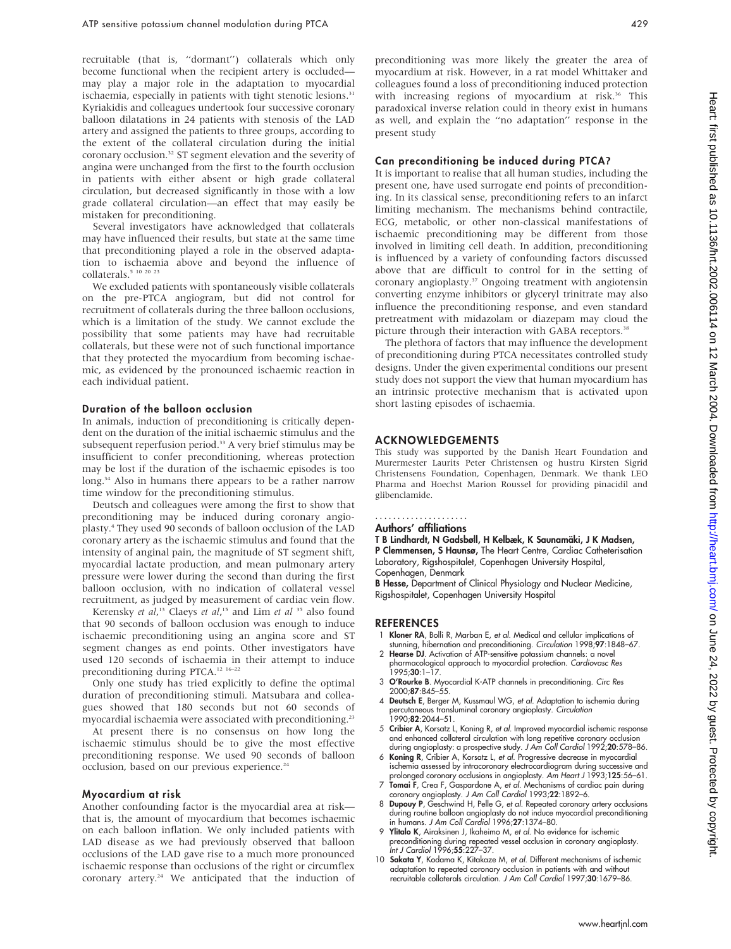recruitable (that is, ''dormant'') collaterals which only become functional when the recipient artery is occluded may play a major role in the adaptation to myocardial ischaemia, especially in patients with tight stenotic lesions.<sup>31</sup> Kyriakidis and colleagues undertook four successive coronary balloon dilatations in 24 patients with stenosis of the LAD artery and assigned the patients to three groups, according to the extent of the collateral circulation during the initial coronary occlusion.32 ST segment elevation and the severity of angina were unchanged from the first to the fourth occlusion in patients with either absent or high grade collateral circulation, but decreased significantly in those with a low grade collateral circulation—an effect that may easily be mistaken for preconditioning.

Several investigators have acknowledged that collaterals may have influenced their results, but state at the same time that preconditioning played a role in the observed adaptation to ischaemia above and beyond the influence of collaterals.<sup>5</sup> 10 20 23

We excluded patients with spontaneously visible collaterals on the pre-PTCA angiogram, but did not control for recruitment of collaterals during the three balloon occlusions, which is a limitation of the study. We cannot exclude the possibility that some patients may have had recruitable collaterals, but these were not of such functional importance that they protected the myocardium from becoming ischaemic, as evidenced by the pronounced ischaemic reaction in each individual patient.

#### Duration of the balloon occlusion

In animals, induction of preconditioning is critically dependent on the duration of the initial ischaemic stimulus and the subsequent reperfusion period.<sup>33</sup> A very brief stimulus may be insufficient to confer preconditioning, whereas protection may be lost if the duration of the ischaemic episodes is too long.<sup>34</sup> Also in humans there appears to be a rather narrow time window for the preconditioning stimulus.

Deutsch and colleagues were among the first to show that preconditioning may be induced during coronary angioplasty.4 They used 90 seconds of balloon occlusion of the LAD coronary artery as the ischaemic stimulus and found that the intensity of anginal pain, the magnitude of ST segment shift, myocardial lactate production, and mean pulmonary artery pressure were lower during the second than during the first balloon occlusion, with no indication of collateral vessel recruitment, as judged by measurement of cardiac vein flow.

Kerensky et al,<sup>13</sup> Claeys et al,<sup>15</sup> and Lim et al <sup>35</sup> also found that 90 seconds of balloon occlusion was enough to induce ischaemic preconditioning using an angina score and ST segment changes as end points. Other investigators have used 120 seconds of ischaemia in their attempt to induce preconditioning during PTCA.12 16–22

Only one study has tried explicitly to define the optimal duration of preconditioning stimuli. Matsubara and colleagues showed that 180 seconds but not 60 seconds of myocardial ischaemia were associated with preconditioning.<sup>23</sup>

At present there is no consensus on how long the ischaemic stimulus should be to give the most effective preconditioning response. We used 90 seconds of balloon occlusion, based on our previous experience.<sup>24</sup>

#### Myocardium at risk

Another confounding factor is the myocardial area at risk that is, the amount of myocardium that becomes ischaemic on each balloon inflation. We only included patients with LAD disease as we had previously observed that balloon occlusions of the LAD gave rise to a much more pronounced ischaemic response than occlusions of the right or circumflex coronary artery.<sup>24</sup> We anticipated that the induction of preconditioning was more likely the greater the area of myocardium at risk. However, in a rat model Whittaker and colleagues found a loss of preconditioning induced protection with increasing regions of myocardium at risk.<sup>36</sup> This paradoxical inverse relation could in theory exist in humans as well, and explain the ''no adaptation'' response in the present study

#### Can preconditioning be induced during PTCA?

It is important to realise that all human studies, including the present one, have used surrogate end points of preconditioning. In its classical sense, preconditioning refers to an infarct limiting mechanism. The mechanisms behind contractile, ECG, metabolic, or other non-classical manifestations of ischaemic preconditioning may be different from those involved in limiting cell death. In addition, preconditioning is influenced by a variety of confounding factors discussed above that are difficult to control for in the setting of coronary angioplasty.<sup>37</sup> Ongoing treatment with angiotensin converting enzyme inhibitors or glyceryl trinitrate may also influence the preconditioning response, and even standard pretreatment with midazolam or diazepam may cloud the picture through their interaction with GABA receptors.<sup>38</sup>

The plethora of factors that may influence the development of preconditioning during PTCA necessitates controlled study designs. Under the given experimental conditions our present study does not support the view that human myocardium has an intrinsic protective mechanism that is activated upon short lasting episodes of ischaemia.

### ACKNOWLEDGEMENTS

This study was supported by the Danish Heart Foundation and Murermester Laurits Peter Christensen og hustru Kirsten Sigrid Christensens Foundation, Copenhagen, Denmark. We thank LEO Pharma and Hoechst Marion Roussel for providing pinacidil and glibenclamide.

# .....................

Authors' affiliations

T B Lindhardt, N Gadsbøll, H Kelbæk, K Saunamäki, J K Madsen, P Clemmensen, S Haunsø, The Heart Centre, Cardiac Catheterisation Laboratory, Rigshospitalet, Copenhagen University Hospital, Copenhagen, Denmark

B Hesse, Department of Clinical Physiology and Nuclear Medicine, Rigshospitalet, Copenhagen University Hospital

# **REFERENCES**

- 1 Kloner RA, Bolli R, Marban E, et al. Medical and cellular implications of stunning, hibernation and preconditioning. Circulation 1998;97:1848–67.
- 2 Hearse DJ. Activation of ATP-sensitive potassium channels: a novel pharmacological approach to myocardial protection. Cardiovasc Res  $1995:30:1 - 17$
- 3 O'Rourke B. Myocardial K-ATP channels in preconditioning. Circ Res 2000;87:845–55.
- 4 Deutsch E, Berger M, Kussmaul WG, et al. Adaptation to ischemia during percutaneous transluminal coronary angioplasty. Circulation percolarisect...
- 5 Cribier A, Korsatz L, Koning R, et al. Improved myocardial ischemic response and enhanced collateral circulation with long repetitive coronary occlusion during angioplasty: a prospective study. J Am Coll Cardiol 1992;20:578–86.
- 6 Koning R, Cribier A, Korsatz L, et al. Progressive decrease in myocardial ischemia assessed by intracoronary electrocardiogram during successive and prolonged coronary occlusions in angioplasty. Am Heart J 1993;125:56–61.
- 7 Tomai F, Crea F, Gaspardone A, et al. Mechanisms of cardiac pain during coronary angioplasty. J Am Coll Cardiol 1993;22:1892–6.
- 8 Dupouy P, Geschwind H, Pelle G, et al. Repeated coronary artery occlusions during routine balloon angioplasty do not induce myocardial preconditioning in humans. J Am Coll Cardiol 1996;27:1374–80.
- 9 Ylitalo K, Airaksinen J, Ikaheimo M, et al. No evidence for ischemic preconditioning during repeated vessel occlusion in coronary angioplasty. Int J Cardiol 1996;55:227-37.
- 10 Sakata Y, Kodama K, Kitakaze M, et al. Different mechanisms of ischemic adaptation to repeated coronary occlusion in patients with and without recruitable collaterals circulation. J Am Coll Cardiol 1997;30:1679–86.